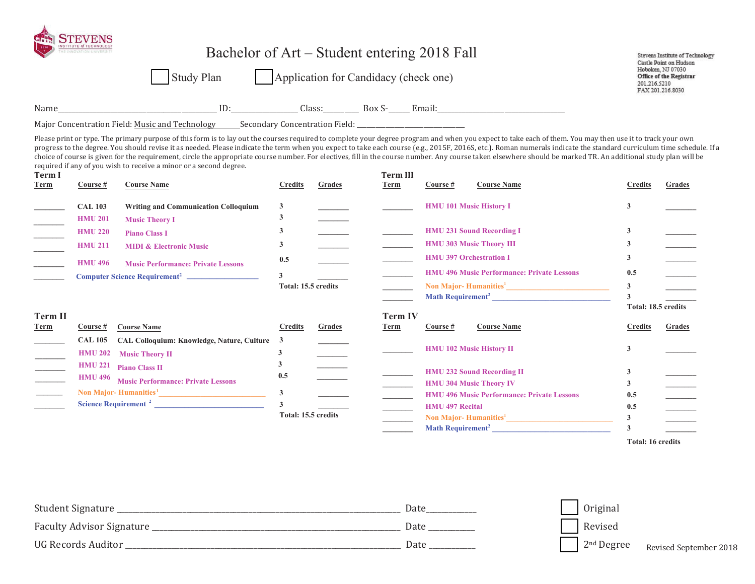|                                                                                                                                                                                                                                                                                                                                                                                                                                                                            |                | <b>Study Plan</b>                                                                                                                                                                                                                                                                                                                                                                                                                                                                                                                                                                                                                                                                                                                                |                                         |        | Bachelor of Art – Student entering 2018 Fall<br>      Application for Candidacy (check one)                                                                                                                                                                                                                                                                                                                                                                                |                        |                                                   | 201.216.5210                   | Stevens Institute of Technology<br>Castle Point on Hudson<br>Hoboken, NJ 07030<br><b>Office of the Registrar</b><br>FAX 201.216.8030 |
|----------------------------------------------------------------------------------------------------------------------------------------------------------------------------------------------------------------------------------------------------------------------------------------------------------------------------------------------------------------------------------------------------------------------------------------------------------------------------|----------------|--------------------------------------------------------------------------------------------------------------------------------------------------------------------------------------------------------------------------------------------------------------------------------------------------------------------------------------------------------------------------------------------------------------------------------------------------------------------------------------------------------------------------------------------------------------------------------------------------------------------------------------------------------------------------------------------------------------------------------------------------|-----------------------------------------|--------|----------------------------------------------------------------------------------------------------------------------------------------------------------------------------------------------------------------------------------------------------------------------------------------------------------------------------------------------------------------------------------------------------------------------------------------------------------------------------|------------------------|---------------------------------------------------|--------------------------------|--------------------------------------------------------------------------------------------------------------------------------------|
|                                                                                                                                                                                                                                                                                                                                                                                                                                                                            |                |                                                                                                                                                                                                                                                                                                                                                                                                                                                                                                                                                                                                                                                                                                                                                  |                                         |        |                                                                                                                                                                                                                                                                                                                                                                                                                                                                            |                        |                                                   |                                |                                                                                                                                      |
|                                                                                                                                                                                                                                                                                                                                                                                                                                                                            |                | Major Concentration Field: Music and Technology Secondary Concentration Field: ____________________                                                                                                                                                                                                                                                                                                                                                                                                                                                                                                                                                                                                                                              |                                         |        |                                                                                                                                                                                                                                                                                                                                                                                                                                                                            |                        |                                                   |                                |                                                                                                                                      |
| <b>Term I</b><br><b>Term</b>                                                                                                                                                                                                                                                                                                                                                                                                                                               | Course #       | Please print or type. The primary purpose of this form is to lay out the courses required to complete your degree program and when you expect to take each of them. You may then use it to track your own<br>progress to the degree. You should revise it as needed. Please indicate the term when you expect to take each course (e.g., 2015F, 2016S, etc.). Roman numerals indicate the standard curriculum time schedule. If a<br>choice of course is given for the requirement, circle the appropriate course number. For electives, fill in the course number. Any course taken elsewhere should be marked TR. An additional study plan will be<br>required if any of you wish to receive a minor or a second degree.<br><b>Course Name</b> | <b>Credits</b>                          | Grades | <b>Term III</b><br>Term                                                                                                                                                                                                                                                                                                                                                                                                                                                    | Course#                | <b>Course Name</b>                                | <b>Credits</b>                 | Grades                                                                                                                               |
| <u> Liberatura de la p</u>                                                                                                                                                                                                                                                                                                                                                                                                                                                 | <b>CAL 103</b> | <b>Writing and Communication Colloquium</b>                                                                                                                                                                                                                                                                                                                                                                                                                                                                                                                                                                                                                                                                                                      | 3                                       |        |                                                                                                                                                                                                                                                                                                                                                                                                                                                                            |                        | <b>HMU 101 Music History I</b>                    | 3                              |                                                                                                                                      |
| $\overline{\phantom{a}}$                                                                                                                                                                                                                                                                                                                                                                                                                                                   | <b>HMU 201</b> | <b>Music Theory I</b>                                                                                                                                                                                                                                                                                                                                                                                                                                                                                                                                                                                                                                                                                                                            | 3                                       |        |                                                                                                                                                                                                                                                                                                                                                                                                                                                                            |                        |                                                   |                                |                                                                                                                                      |
| $\overline{\phantom{a}}$                                                                                                                                                                                                                                                                                                                                                                                                                                                   | <b>HMU 220</b> | <b>Piano Class I</b>                                                                                                                                                                                                                                                                                                                                                                                                                                                                                                                                                                                                                                                                                                                             | 3                                       |        |                                                                                                                                                                                                                                                                                                                                                                                                                                                                            |                        | <b>HMU 231 Sound Recording I</b>                  | 3                              |                                                                                                                                      |
| $\begin{array}{c} \begin{array}{c} \begin{array}{c} \begin{array}{c} \end{array} \\ \end{array} \end{array} \end{array}$                                                                                                                                                                                                                                                                                                                                                   | <b>HMU 211</b> | <b>MIDI &amp; Electronic Music</b>                                                                                                                                                                                                                                                                                                                                                                                                                                                                                                                                                                                                                                                                                                               | 3                                       |        |                                                                                                                                                                                                                                                                                                                                                                                                                                                                            |                        | <b>HMU 303 Music Theory III</b>                   | 3                              |                                                                                                                                      |
|                                                                                                                                                                                                                                                                                                                                                                                                                                                                            | <b>HMU 496</b> |                                                                                                                                                                                                                                                                                                                                                                                                                                                                                                                                                                                                                                                                                                                                                  | 0.5                                     |        |                                                                                                                                                                                                                                                                                                                                                                                                                                                                            |                        | <b>HMU 397 Orchestration I</b>                    | 3                              |                                                                                                                                      |
| $\frac{1}{2}$ , $\frac{1}{2}$ , $\frac{1}{2}$ , $\frac{1}{2}$ , $\frac{1}{2}$ , $\frac{1}{2}$ , $\frac{1}{2}$ , $\frac{1}{2}$ , $\frac{1}{2}$ , $\frac{1}{2}$ , $\frac{1}{2}$ , $\frac{1}{2}$ , $\frac{1}{2}$ , $\frac{1}{2}$ , $\frac{1}{2}$ , $\frac{1}{2}$ , $\frac{1}{2}$ , $\frac{1}{2}$ , $\frac{1$                                                                                                                                                                  |                | <b>Music Performance: Private Lessons</b>                                                                                                                                                                                                                                                                                                                                                                                                                                                                                                                                                                                                                                                                                                        | $\mathbf{3}$                            |        |                                                                                                                                                                                                                                                                                                                                                                                                                                                                            |                        | <b>HMU 496 Music Performance: Private Lessons</b> | 0.5                            |                                                                                                                                      |
|                                                                                                                                                                                                                                                                                                                                                                                                                                                                            |                | Computer Science Requirement <sup>2</sup>                                                                                                                                                                                                                                                                                                                                                                                                                                                                                                                                                                                                                                                                                                        | Total: 15.5 credits                     |        |                                                                                                                                                                                                                                                                                                                                                                                                                                                                            |                        |                                                   | $\mathbf{3}$                   |                                                                                                                                      |
|                                                                                                                                                                                                                                                                                                                                                                                                                                                                            |                |                                                                                                                                                                                                                                                                                                                                                                                                                                                                                                                                                                                                                                                                                                                                                  |                                         |        |                                                                                                                                                                                                                                                                                                                                                                                                                                                                            |                        | Math Requirement <sup>2</sup>                     | $\overline{\mathbf{3}}$        |                                                                                                                                      |
|                                                                                                                                                                                                                                                                                                                                                                                                                                                                            |                |                                                                                                                                                                                                                                                                                                                                                                                                                                                                                                                                                                                                                                                                                                                                                  |                                         |        |                                                                                                                                                                                                                                                                                                                                                                                                                                                                            |                        |                                                   | Total: 18.5 credits            |                                                                                                                                      |
| <b>Term II</b><br>Term                                                                                                                                                                                                                                                                                                                                                                                                                                                     | Course #       | <b>Course Name</b>                                                                                                                                                                                                                                                                                                                                                                                                                                                                                                                                                                                                                                                                                                                               | <b>Credits</b>                          | Grades | <b>Term IV</b><br>Term                                                                                                                                                                                                                                                                                                                                                                                                                                                     | Course #               | <b>Course Name</b>                                | <b>Credits</b>                 | Grades                                                                                                                               |
|                                                                                                                                                                                                                                                                                                                                                                                                                                                                            | <b>CAL 105</b> | <b>CAL Colloquium: Knowledge, Nature, Culture</b>                                                                                                                                                                                                                                                                                                                                                                                                                                                                                                                                                                                                                                                                                                | $\mathbf{3}$                            |        |                                                                                                                                                                                                                                                                                                                                                                                                                                                                            |                        |                                                   |                                |                                                                                                                                      |
|                                                                                                                                                                                                                                                                                                                                                                                                                                                                            | <b>HMU 202</b> | <b>Music Theory II</b>                                                                                                                                                                                                                                                                                                                                                                                                                                                                                                                                                                                                                                                                                                                           | $\mathbf{3}$                            |        |                                                                                                                                                                                                                                                                                                                                                                                                                                                                            |                        | <b>HMU 102 Music History II</b>                   | 3                              |                                                                                                                                      |
|                                                                                                                                                                                                                                                                                                                                                                                                                                                                            | <b>HMU 221</b> | <b>Piano Class II</b>                                                                                                                                                                                                                                                                                                                                                                                                                                                                                                                                                                                                                                                                                                                            | $\mathbf{3}$                            |        |                                                                                                                                                                                                                                                                                                                                                                                                                                                                            |                        |                                                   |                                |                                                                                                                                      |
|                                                                                                                                                                                                                                                                                                                                                                                                                                                                            | <b>HMU 496</b> | <b>Music Performance: Private Lessons</b>                                                                                                                                                                                                                                                                                                                                                                                                                                                                                                                                                                                                                                                                                                        | 0.5                                     |        |                                                                                                                                                                                                                                                                                                                                                                                                                                                                            |                        | <b>HMU 232 Sound Recording II</b>                 | 3                              |                                                                                                                                      |
| $\frac{1}{2} \left( \frac{1}{2} \right) \left( \frac{1}{2} \right) \left( \frac{1}{2} \right) \left( \frac{1}{2} \right) \left( \frac{1}{2} \right) \left( \frac{1}{2} \right) \left( \frac{1}{2} \right) \left( \frac{1}{2} \right) \left( \frac{1}{2} \right) \left( \frac{1}{2} \right) \left( \frac{1}{2} \right) \left( \frac{1}{2} \right) \left( \frac{1}{2} \right) \left( \frac{1}{2} \right) \left( \frac{1}{2} \right) \left( \frac{1}{2} \right) \left( \frac$ |                |                                                                                                                                                                                                                                                                                                                                                                                                                                                                                                                                                                                                                                                                                                                                                  |                                         |        |                                                                                                                                                                                                                                                                                                                                                                                                                                                                            |                        | <b>HMU 304 Music Theory IV</b>                    | 3                              |                                                                                                                                      |
|                                                                                                                                                                                                                                                                                                                                                                                                                                                                            |                | Science Requirement <sup>2</sup>                                                                                                                                                                                                                                                                                                                                                                                                                                                                                                                                                                                                                                                                                                                 | $\mathbf{3}$<br>$\overline{\mathbf{3}}$ |        | $\frac{1}{2} \left( \frac{1}{2} \right) \left( \frac{1}{2} \right) \left( \frac{1}{2} \right) \left( \frac{1}{2} \right) \left( \frac{1}{2} \right) \left( \frac{1}{2} \right) \left( \frac{1}{2} \right) \left( \frac{1}{2} \right) \left( \frac{1}{2} \right) \left( \frac{1}{2} \right) \left( \frac{1}{2} \right) \left( \frac{1}{2} \right) \left( \frac{1}{2} \right) \left( \frac{1}{2} \right) \left( \frac{1}{2} \right) \left( \frac{1}{2} \right) \left( \frac$ |                        | <b>HMU 496 Music Performance: Private Lessons</b> | 0.5                            |                                                                                                                                      |
|                                                                                                                                                                                                                                                                                                                                                                                                                                                                            |                |                                                                                                                                                                                                                                                                                                                                                                                                                                                                                                                                                                                                                                                                                                                                                  | Total: 15.5 credits                     |        |                                                                                                                                                                                                                                                                                                                                                                                                                                                                            | <b>HMU 497 Recital</b> |                                                   | 0.5                            |                                                                                                                                      |
|                                                                                                                                                                                                                                                                                                                                                                                                                                                                            |                |                                                                                                                                                                                                                                                                                                                                                                                                                                                                                                                                                                                                                                                                                                                                                  |                                         |        |                                                                                                                                                                                                                                                                                                                                                                                                                                                                            |                        | Math Requirement <sup>2</sup>                     | $\mathbf{3}$<br>$\overline{3}$ |                                                                                                                                      |
|                                                                                                                                                                                                                                                                                                                                                                                                                                                                            |                |                                                                                                                                                                                                                                                                                                                                                                                                                                                                                                                                                                                                                                                                                                                                                  |                                         |        |                                                                                                                                                                                                                                                                                                                                                                                                                                                                            |                        |                                                   | <b>Total: 16 credits</b>       |                                                                                                                                      |

| student i<br>$\sum$              | Date | Original |
|----------------------------------|------|----------|
| <b>Faculty Advisor Signature</b> | Date | Revised  |
| <b>IIG Record</b>                | Date |          |

Revised September 2018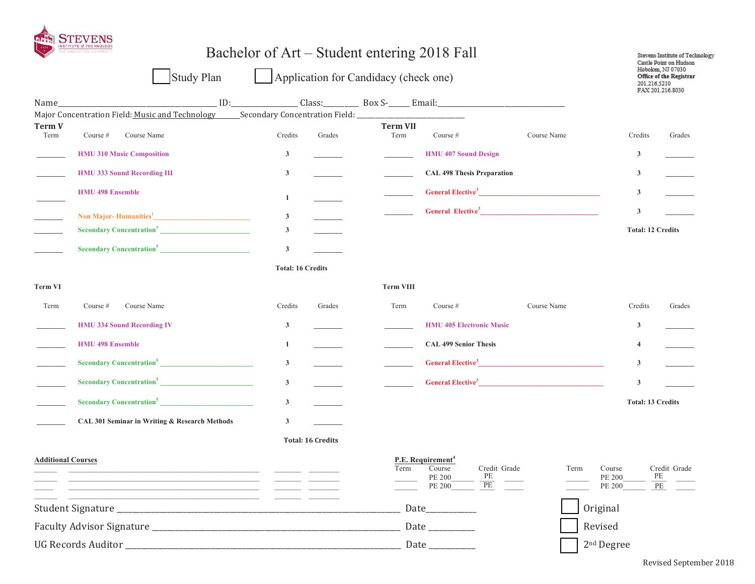

|                            | INSTITUTE of TECHNOLOGY                                                        | Bachelor of Art – Student entering 2018 Fall |                                                                     |                                              | Stevens Institute of Technology<br>Castle Point on Hudson                                |
|----------------------------|--------------------------------------------------------------------------------|----------------------------------------------|---------------------------------------------------------------------|----------------------------------------------|------------------------------------------------------------------------------------------|
|                            | Study Plan                                                                     | Application for Candidacy (check one)        |                                                                     |                                              | Hoboken, NJ 07030<br><b>Office of the Registrar</b><br>201.216.5210<br>FAX 201.216.8030  |
|                            |                                                                                |                                              |                                                                     |                                              |                                                                                          |
|                            | Major Concentration Field: Music and Technology Secondary Concentration Field: |                                              |                                                                     |                                              |                                                                                          |
| <b>Term V</b><br>Term      | Course #<br>Course Name                                                        | Credits<br>Grades                            | <b>Term VII</b><br>Term<br>Course $#$                               | Course Name                                  | Credits<br>Grades                                                                        |
|                            | <b>HMU 310 Music Composition</b>                                               | $\mathbf{3}$                                 |                                                                     | <b>HMU 407 Sound Design</b>                  | 3                                                                                        |
|                            | <b>HMU 333 Sound Recording III</b>                                             | $\mathbf{3}$                                 |                                                                     | <b>CAL 498 Thesis Preparation</b>            | 3                                                                                        |
|                            | <b>HMU 498 Ensemble</b>                                                        | $\mathbf{1}$                                 |                                                                     | General Elective <sup>3</sup>                | 3                                                                                        |
| $\overline{\phantom{a}}$   | Non Major-Humanities <sup>1</sup> Manual Communication of Major-               | $\mathbf{3}$                                 |                                                                     |                                              | 3                                                                                        |
| $\mathcal{L}(\mathcal{L})$ | Secondary Concentration <sup>5</sup>                                           | $\mathbf{3}$                                 |                                                                     |                                              | <b>Total: 12 Credits</b>                                                                 |
|                            | Secondary Concentration <sup>5</sup>                                           | $\mathbf{3}$                                 |                                                                     |                                              |                                                                                          |
|                            |                                                                                | <b>Total: 16 Credits</b>                     |                                                                     |                                              |                                                                                          |
| <b>Term VI</b>             |                                                                                |                                              | <b>Term VIII</b>                                                    |                                              |                                                                                          |
| Term                       | Course Name<br>Course $#$                                                      | Credits<br>Grades                            | Term<br>Course $#$                                                  | Course Name                                  | Credits<br>Grades                                                                        |
|                            | <b>HMU 334 Sound Recording IV</b>                                              | $\mathbf{3}$                                 |                                                                     | <b>HMU 405 Electronic Music</b>              | 3                                                                                        |
|                            | <b>HMU 498 Ensemble</b>                                                        | 1                                            |                                                                     | <b>CAL 499 Senior Thesis</b>                 | $\overline{4}$                                                                           |
|                            | Secondary Concentration <sup>5</sup>                                           | $\mathbf{3}$                                 |                                                                     | General Elective <sup>3</sup>                | 3                                                                                        |
|                            | Secondary Concentration <sup>5</sup>                                           | $\mathbf{3}$                                 |                                                                     | General Elective <sup>3</sup>                | $\mathbf{3}$                                                                             |
|                            | Secondary Concentration <sup>5</sup>                                           | $\mathbf{3}$                                 |                                                                     |                                              | <b>Total: 13 Credits</b>                                                                 |
|                            | CAL 301 Seminar in Writing & Research Methods                                  | $\mathbf{3}$                                 |                                                                     |                                              |                                                                                          |
|                            |                                                                                | <b>Total: 16 Credits</b>                     |                                                                     |                                              |                                                                                          |
| <b>Additional Courses</b>  |                                                                                |                                              | P.E. Requirement <sup>4</sup><br>Course<br>Term<br>PE 200<br>PE 200 | Credit Grade<br>PE<br>$\overline{\text{PE}}$ | Term<br>Course<br>Credit Grade<br>$\rm PE$<br>PE 200<br>$\overline{\text{PE}}$<br>PE 200 |
|                            |                                                                                |                                              | Date_                                                               |                                              | Original                                                                                 |
|                            |                                                                                |                                              | Date $\_\_$                                                         |                                              | Revised                                                                                  |
|                            |                                                                                |                                              | Date ___________                                                    |                                              | 2 <sup>nd</sup> Degree                                                                   |